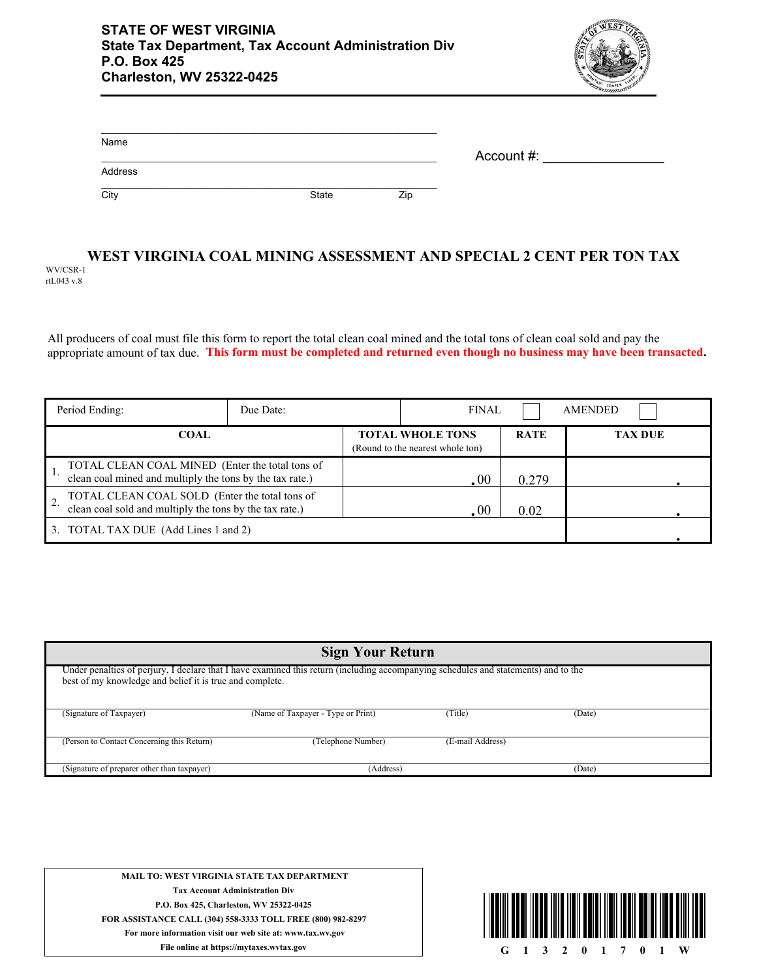

| Name    |       |     | Account #: |
|---------|-------|-----|------------|
| Address |       |     |            |
| City    | State | Zip |            |

#### **WEST VIRGINIA COAL MINING ASSESSMENT AND SPECIAL 2 CENT PER TON TAX** WV/CSR-1 rtL043 v.8

All producers of coal must file this form to report the total clean coal mined and the total tons of clean coal sold and pay the appropriate amount of tax due. **This form must be completed and returned even though no business may have been transacted.**

| Period Ending:                                                                                              | Due Date: |                                                             | <b>FINAL</b> |             | <b>AMENDED</b> |  |
|-------------------------------------------------------------------------------------------------------------|-----------|-------------------------------------------------------------|--------------|-------------|----------------|--|
| <b>COAL</b>                                                                                                 |           | <b>TOTAL WHOLE TONS</b><br>(Round to the nearest whole ton) |              | <b>RATE</b> | <b>TAX DUE</b> |  |
| TOTAL CLEAN COAL MINED (Enter the total tons of<br>clean coal mined and multiply the tons by the tax rate.) |           | .00                                                         |              | 0.279       |                |  |
| TOTAL CLEAN COAL SOLD (Enter the total tons of<br>clean coal sold and multiply the tons by the tax rate.)   |           | .00                                                         |              | 0.02        |                |  |
| TOTAL TAX DUE (Add Lines 1 and 2)<br>3.                                                                     |           |                                                             |              |             |                |  |

| <b>Sign Your Return</b>                                                                                                                                                                         |                                    |                  |        |  |  |  |  |  |  |
|-------------------------------------------------------------------------------------------------------------------------------------------------------------------------------------------------|------------------------------------|------------------|--------|--|--|--|--|--|--|
| Under penalties of perjury, I declare that I have examined this return (including accompanying schedules and statements) and to the<br>best of my knowledge and belief it is true and complete. |                                    |                  |        |  |  |  |  |  |  |
| (Signature of Taxpayer)                                                                                                                                                                         | (Name of Taxpayer - Type or Print) | (Title)          | (Date) |  |  |  |  |  |  |
| (Person to Contact Concerning this Return)                                                                                                                                                      | (Telephone Number)                 | (E-mail Address) |        |  |  |  |  |  |  |
| (Signature of preparer other than taxpayer)                                                                                                                                                     | (Address)                          | (Date)           |        |  |  |  |  |  |  |

**MAIL TO: WEST VIRGINIA STATE TAX DEPARTMENT Tax Account Administration Div P.O. Box 425, Charleston, WV 25322-0425 FOR ASSISTANCE CALL (304) 558-3333 TOLL FREE (800) 982-8297 For more information visit our web site at: www.tax.wv.gov**